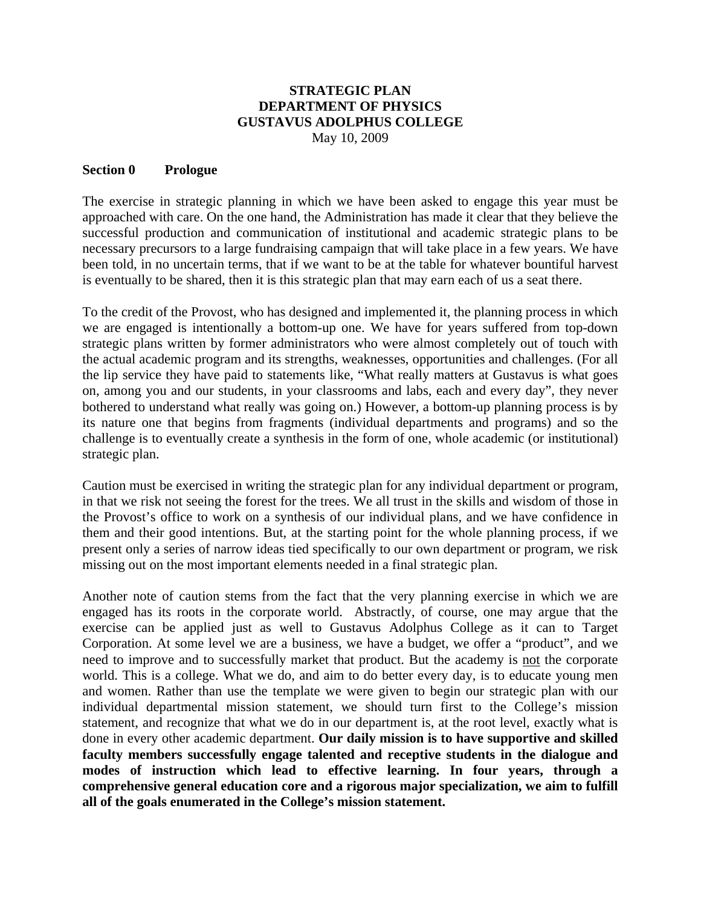#### **STRATEGIC PLAN DEPARTMENT OF PHYSICS GUSTAVUS ADOLPHUS COLLEGE**  May 10, 2009

#### **Section 0 Prologue**

The exercise in strategic planning in which we have been asked to engage this year must be approached with care. On the one hand, the Administration has made it clear that they believe the successful production and communication of institutional and academic strategic plans to be necessary precursors to a large fundraising campaign that will take place in a few years. We have been told, in no uncertain terms, that if we want to be at the table for whatever bountiful harvest is eventually to be shared, then it is this strategic plan that may earn each of us a seat there.

To the credit of the Provost, who has designed and implemented it, the planning process in which we are engaged is intentionally a bottom-up one. We have for years suffered from top-down strategic plans written by former administrators who were almost completely out of touch with the actual academic program and its strengths, weaknesses, opportunities and challenges. (For all the lip service they have paid to statements like, "What really matters at Gustavus is what goes on, among you and our students, in your classrooms and labs, each and every day", they never bothered to understand what really was going on.) However, a bottom-up planning process is by its nature one that begins from fragments (individual departments and programs) and so the challenge is to eventually create a synthesis in the form of one, whole academic (or institutional) strategic plan.

Caution must be exercised in writing the strategic plan for any individual department or program, in that we risk not seeing the forest for the trees. We all trust in the skills and wisdom of those in the Provost's office to work on a synthesis of our individual plans, and we have confidence in them and their good intentions. But, at the starting point for the whole planning process, if we present only a series of narrow ideas tied specifically to our own department or program, we risk missing out on the most important elements needed in a final strategic plan.

Another note of caution stems from the fact that the very planning exercise in which we are engaged has its roots in the corporate world. Abstractly, of course, one may argue that the exercise can be applied just as well to Gustavus Adolphus College as it can to Target Corporation. At some level we are a business, we have a budget, we offer a "product", and we need to improve and to successfully market that product. But the academy is not the corporate world. This is a college. What we do, and aim to do better every day, is to educate young men and women. Rather than use the template we were given to begin our strategic plan with our individual departmental mission statement, we should turn first to the College's mission statement, and recognize that what we do in our department is, at the root level, exactly what is done in every other academic department. **Our daily mission is to have supportive and skilled faculty members successfully engage talented and receptive students in the dialogue and modes of instruction which lead to effective learning. In four years, through a comprehensive general education core and a rigorous major specialization, we aim to fulfill all of the goals enumerated in the College's mission statement.**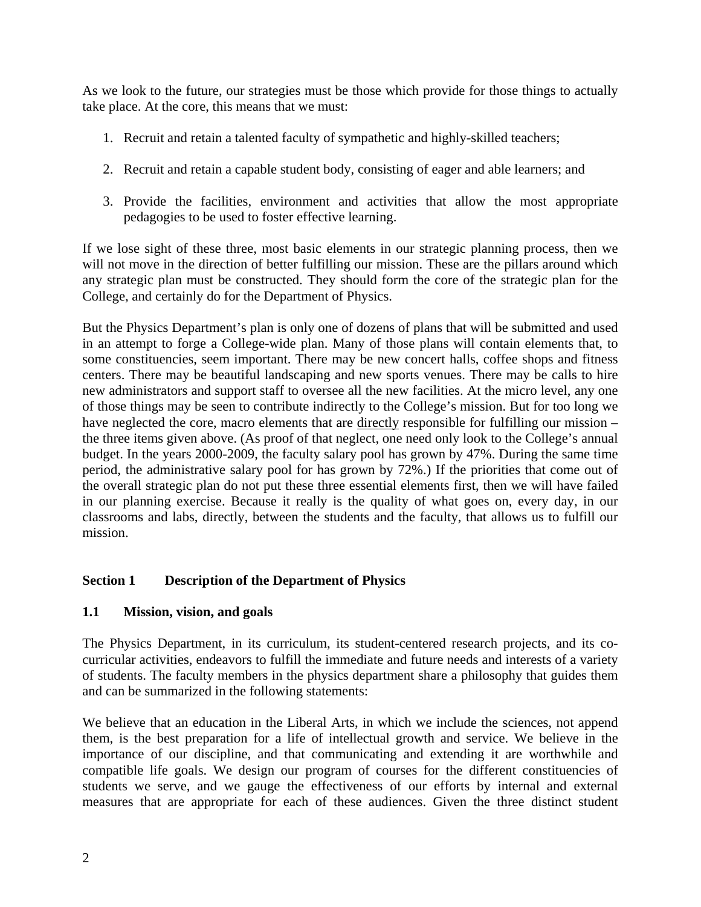As we look to the future, our strategies must be those which provide for those things to actually take place. At the core, this means that we must:

- 1. Recruit and retain a talented faculty of sympathetic and highly-skilled teachers;
- 2. Recruit and retain a capable student body, consisting of eager and able learners; and
- 3. Provide the facilities, environment and activities that allow the most appropriate pedagogies to be used to foster effective learning.

If we lose sight of these three, most basic elements in our strategic planning process, then we will not move in the direction of better fulfilling our mission. These are the pillars around which any strategic plan must be constructed. They should form the core of the strategic plan for the College, and certainly do for the Department of Physics.

But the Physics Department's plan is only one of dozens of plans that will be submitted and used in an attempt to forge a College-wide plan. Many of those plans will contain elements that, to some constituencies, seem important. There may be new concert halls, coffee shops and fitness centers. There may be beautiful landscaping and new sports venues. There may be calls to hire new administrators and support staff to oversee all the new facilities. At the micro level, any one of those things may be seen to contribute indirectly to the College's mission. But for too long we have neglected the core, macro elements that are directly responsible for fulfilling our mission – the three items given above. (As proof of that neglect, one need only look to the College's annual budget. In the years 2000-2009, the faculty salary pool has grown by 47%. During the same time period, the administrative salary pool for has grown by 72%.) If the priorities that come out of the overall strategic plan do not put these three essential elements first, then we will have failed in our planning exercise. Because it really is the quality of what goes on, every day, in our classrooms and labs, directly, between the students and the faculty, that allows us to fulfill our mission.

# **Section 1 Description of the Department of Physics**

## **1.1 Mission, vision, and goals**

The Physics Department, in its curriculum, its student-centered research projects, and its cocurricular activities, endeavors to fulfill the immediate and future needs and interests of a variety of students. The faculty members in the physics department share a philosophy that guides them and can be summarized in the following statements:

We believe that an education in the Liberal Arts, in which we include the sciences, not append them, is the best preparation for a life of intellectual growth and service. We believe in the importance of our discipline, and that communicating and extending it are worthwhile and compatible life goals. We design our program of courses for the different constituencies of students we serve, and we gauge the effectiveness of our efforts by internal and external measures that are appropriate for each of these audiences. Given the three distinct student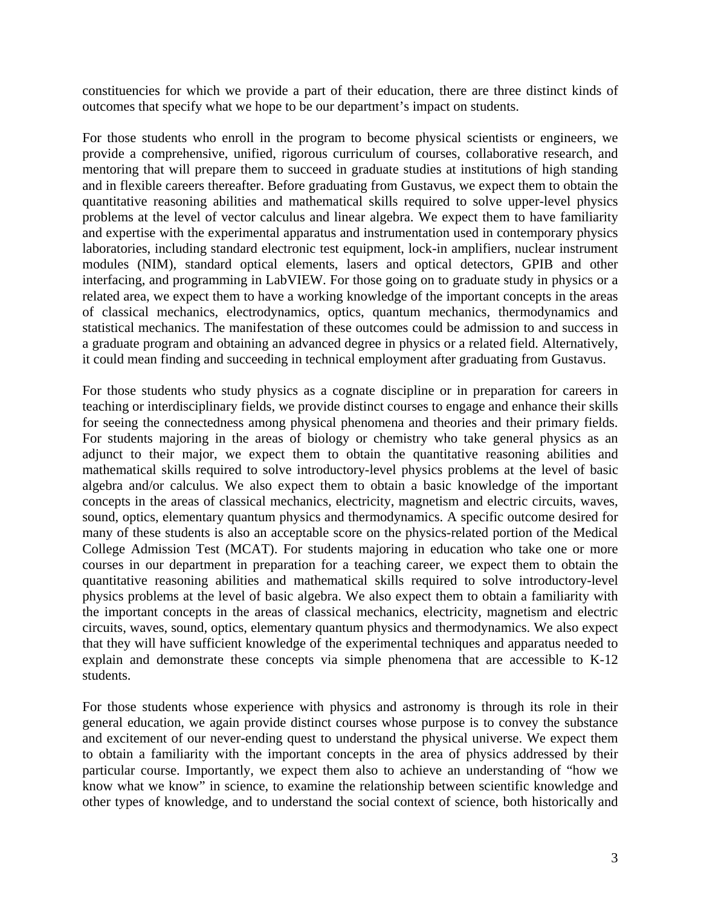constituencies for which we provide a part of their education, there are three distinct kinds of outcomes that specify what we hope to be our department's impact on students.

For those students who enroll in the program to become physical scientists or engineers, we provide a comprehensive, unified, rigorous curriculum of courses, collaborative research, and mentoring that will prepare them to succeed in graduate studies at institutions of high standing and in flexible careers thereafter. Before graduating from Gustavus, we expect them to obtain the quantitative reasoning abilities and mathematical skills required to solve upper-level physics problems at the level of vector calculus and linear algebra. We expect them to have familiarity and expertise with the experimental apparatus and instrumentation used in contemporary physics laboratories, including standard electronic test equipment, lock-in amplifiers, nuclear instrument modules (NIM), standard optical elements, lasers and optical detectors, GPIB and other interfacing, and programming in LabVIEW. For those going on to graduate study in physics or a related area, we expect them to have a working knowledge of the important concepts in the areas of classical mechanics, electrodynamics, optics, quantum mechanics, thermodynamics and statistical mechanics. The manifestation of these outcomes could be admission to and success in a graduate program and obtaining an advanced degree in physics or a related field. Alternatively, it could mean finding and succeeding in technical employment after graduating from Gustavus.

For those students who study physics as a cognate discipline or in preparation for careers in teaching or interdisciplinary fields, we provide distinct courses to engage and enhance their skills for seeing the connectedness among physical phenomena and theories and their primary fields. For students majoring in the areas of biology or chemistry who take general physics as an adjunct to their major, we expect them to obtain the quantitative reasoning abilities and mathematical skills required to solve introductory-level physics problems at the level of basic algebra and/or calculus. We also expect them to obtain a basic knowledge of the important concepts in the areas of classical mechanics, electricity, magnetism and electric circuits, waves, sound, optics, elementary quantum physics and thermodynamics. A specific outcome desired for many of these students is also an acceptable score on the physics-related portion of the Medical College Admission Test (MCAT). For students majoring in education who take one or more courses in our department in preparation for a teaching career, we expect them to obtain the quantitative reasoning abilities and mathematical skills required to solve introductory-level physics problems at the level of basic algebra. We also expect them to obtain a familiarity with the important concepts in the areas of classical mechanics, electricity, magnetism and electric circuits, waves, sound, optics, elementary quantum physics and thermodynamics. We also expect that they will have sufficient knowledge of the experimental techniques and apparatus needed to explain and demonstrate these concepts via simple phenomena that are accessible to K-12 students.

For those students whose experience with physics and astronomy is through its role in their general education, we again provide distinct courses whose purpose is to convey the substance and excitement of our never-ending quest to understand the physical universe. We expect them to obtain a familiarity with the important concepts in the area of physics addressed by their particular course. Importantly, we expect them also to achieve an understanding of "how we know what we know" in science, to examine the relationship between scientific knowledge and other types of knowledge, and to understand the social context of science, both historically and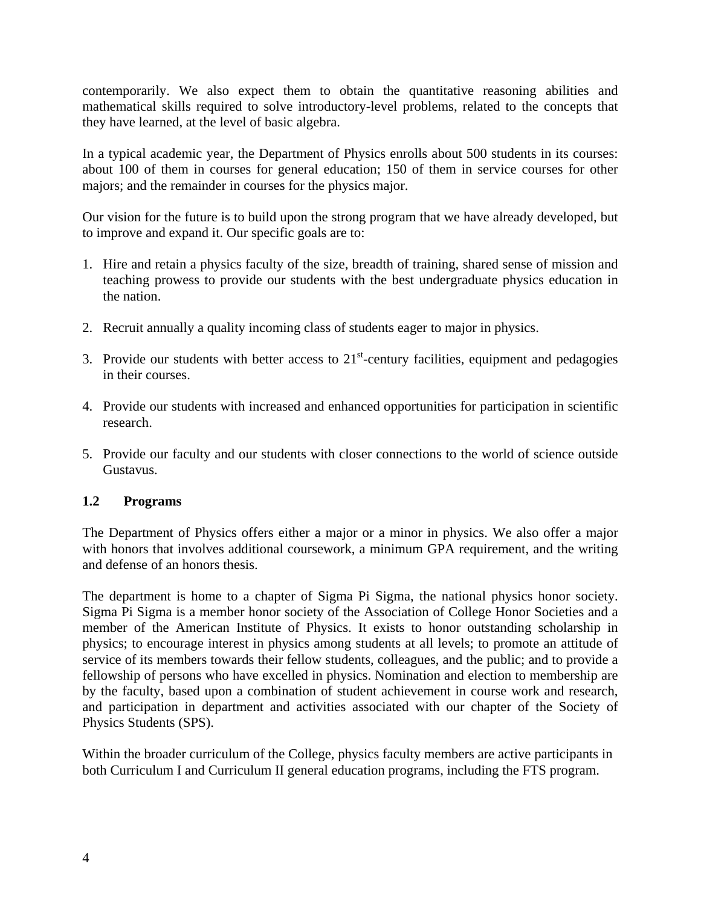contemporarily. We also expect them to obtain the quantitative reasoning abilities and mathematical skills required to solve introductory-level problems, related to the concepts that they have learned, at the level of basic algebra.

In a typical academic year, the Department of Physics enrolls about 500 students in its courses: about 100 of them in courses for general education; 150 of them in service courses for other majors; and the remainder in courses for the physics major.

Our vision for the future is to build upon the strong program that we have already developed, but to improve and expand it. Our specific goals are to:

- 1. Hire and retain a physics faculty of the size, breadth of training, shared sense of mission and teaching prowess to provide our students with the best undergraduate physics education in the nation.
- 2. Recruit annually a quality incoming class of students eager to major in physics.
- 3. Provide our students with better access to  $21<sup>st</sup>$ -century facilities, equipment and pedagogies in their courses.
- 4. Provide our students with increased and enhanced opportunities for participation in scientific research.
- 5. Provide our faculty and our students with closer connections to the world of science outside Gustavus.

## **1.2 Programs**

The Department of Physics offers either a major or a minor in physics. We also offer a major with honors that involves additional coursework, a minimum GPA requirement, and the writing and defense of an honors thesis.

The department is home to a chapter of Sigma Pi Sigma, the national physics honor society. Sigma Pi Sigma is a member honor society of the Association of College Honor Societies and a member of the American Institute of Physics. It exists to honor outstanding scholarship in physics; to encourage interest in physics among students at all levels; to promote an attitude of service of its members towards their fellow students, colleagues, and the public; and to provide a fellowship of persons who have excelled in physics. Nomination and election to membership are by the faculty, based upon a combination of student achievement in course work and research, and participation in department and activities associated with our chapter of the Society of Physics Students (SPS).

Within the broader curriculum of the College, physics faculty members are active participants in both Curriculum I and Curriculum II general education programs, including the FTS program.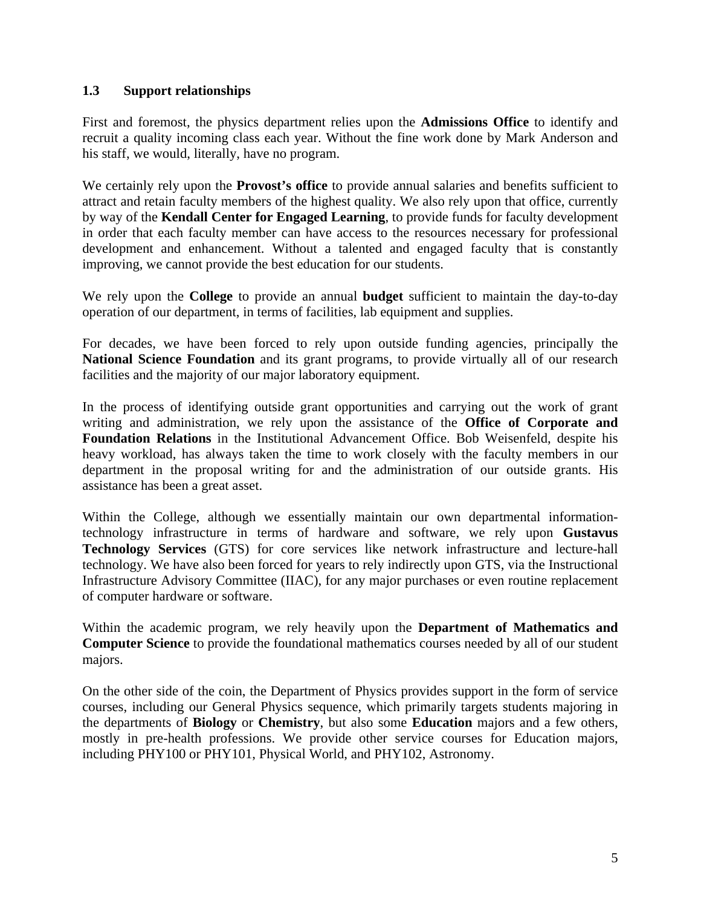### **1.3 Support relationships**

First and foremost, the physics department relies upon the **Admissions Office** to identify and recruit a quality incoming class each year. Without the fine work done by Mark Anderson and his staff, we would, literally, have no program.

We certainly rely upon the **Provost's office** to provide annual salaries and benefits sufficient to attract and retain faculty members of the highest quality. We also rely upon that office, currently by way of the **Kendall Center for Engaged Learning**, to provide funds for faculty development in order that each faculty member can have access to the resources necessary for professional development and enhancement. Without a talented and engaged faculty that is constantly improving, we cannot provide the best education for our students.

We rely upon the **College** to provide an annual **budget** sufficient to maintain the day-to-day operation of our department, in terms of facilities, lab equipment and supplies.

For decades, we have been forced to rely upon outside funding agencies, principally the **National Science Foundation** and its grant programs, to provide virtually all of our research facilities and the majority of our major laboratory equipment.

In the process of identifying outside grant opportunities and carrying out the work of grant writing and administration, we rely upon the assistance of the **Office of Corporate and Foundation Relations** in the Institutional Advancement Office. Bob Weisenfeld, despite his heavy workload, has always taken the time to work closely with the faculty members in our department in the proposal writing for and the administration of our outside grants. His assistance has been a great asset.

Within the College, although we essentially maintain our own departmental informationtechnology infrastructure in terms of hardware and software, we rely upon **Gustavus Technology Services** (GTS) for core services like network infrastructure and lecture-hall technology. We have also been forced for years to rely indirectly upon GTS, via the Instructional Infrastructure Advisory Committee (IIAC), for any major purchases or even routine replacement of computer hardware or software.

Within the academic program, we rely heavily upon the **Department of Mathematics and Computer Science** to provide the foundational mathematics courses needed by all of our student majors.

On the other side of the coin, the Department of Physics provides support in the form of service courses, including our General Physics sequence, which primarily targets students majoring in the departments of **Biology** or **Chemistry**, but also some **Education** majors and a few others, mostly in pre-health professions. We provide other service courses for Education majors, including PHY100 or PHY101, Physical World, and PHY102, Astronomy.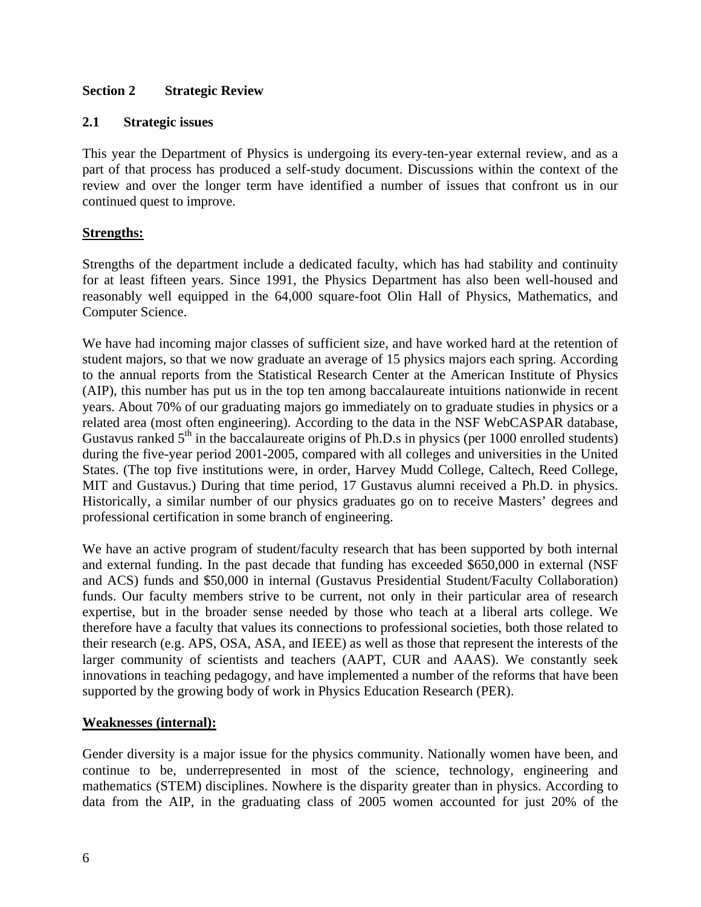## **Section 2 Strategic Review**

#### **2.1 Strategic issues**

This year the Department of Physics is undergoing its every-ten-year external review, and as a part of that process has produced a self-study document. Discussions within the context of the review and over the longer term have identified a number of issues that confront us in our continued quest to improve.

## **Strengths:**

Strengths of the department include a dedicated faculty, which has had stability and continuity for at least fifteen years. Since 1991, the Physics Department has also been well-housed and reasonably well equipped in the 64,000 square-foot Olin Hall of Physics, Mathematics, and Computer Science.

We have had incoming major classes of sufficient size, and have worked hard at the retention of student majors, so that we now graduate an average of 15 physics majors each spring. According to the annual reports from the Statistical Research Center at the American Institute of Physics (AIP), this number has put us in the top ten among baccalaureate intuitions nationwide in recent years. About 70% of our graduating majors go immediately on to graduate studies in physics or a related area (most often engineering). According to the data in the NSF WebCASPAR database, Gustavus ranked  $5<sup>th</sup>$  in the baccalaureate origins of Ph.D.s in physics (per 1000 enrolled students) during the five-year period 2001-2005, compared with all colleges and universities in the United States. (The top five institutions were, in order, Harvey Mudd College, Caltech, Reed College, MIT and Gustavus.) During that time period, 17 Gustavus alumni received a Ph.D. in physics. Historically, a similar number of our physics graduates go on to receive Masters' degrees and professional certification in some branch of engineering.

We have an active program of student/faculty research that has been supported by both internal and external funding. In the past decade that funding has exceeded \$650,000 in external (NSF and ACS) funds and \$50,000 in internal (Gustavus Presidential Student/Faculty Collaboration) funds. Our faculty members strive to be current, not only in their particular area of research expertise, but in the broader sense needed by those who teach at a liberal arts college. We therefore have a faculty that values its connections to professional societies, both those related to their research (e.g. APS, OSA, ASA, and IEEE) as well as those that represent the interests of the larger community of scientists and teachers (AAPT, CUR and AAAS). We constantly seek innovations in teaching pedagogy, and have implemented a number of the reforms that have been supported by the growing body of work in Physics Education Research (PER).

## **Weaknesses (internal):**

Gender diversity is a major issue for the physics community. Nationally women have been, and continue to be, underrepresented in most of the science, technology, engineering and mathematics (STEM) disciplines. Nowhere is the disparity greater than in physics. According to data from the AIP, in the graduating class of 2005 women accounted for just 20% of the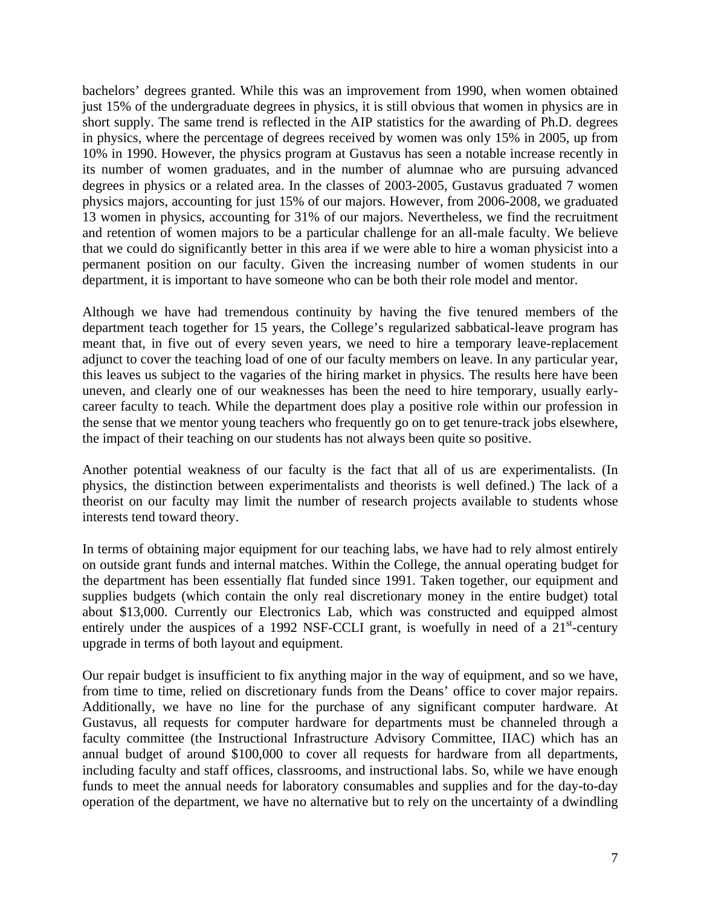bachelors' degrees granted. While this was an improvement from 1990, when women obtained just 15% of the undergraduate degrees in physics, it is still obvious that women in physics are in short supply. The same trend is reflected in the AIP statistics for the awarding of Ph.D. degrees in physics, where the percentage of degrees received by women was only 15% in 2005, up from 10% in 1990. However, the physics program at Gustavus has seen a notable increase recently in its number of women graduates, and in the number of alumnae who are pursuing advanced degrees in physics or a related area. In the classes of 2003-2005, Gustavus graduated 7 women physics majors, accounting for just 15% of our majors. However, from 2006-2008, we graduated 13 women in physics, accounting for 31% of our majors. Nevertheless, we find the recruitment and retention of women majors to be a particular challenge for an all-male faculty. We believe that we could do significantly better in this area if we were able to hire a woman physicist into a permanent position on our faculty. Given the increasing number of women students in our department, it is important to have someone who can be both their role model and mentor.

Although we have had tremendous continuity by having the five tenured members of the department teach together for 15 years, the College's regularized sabbatical-leave program has meant that, in five out of every seven years, we need to hire a temporary leave-replacement adjunct to cover the teaching load of one of our faculty members on leave. In any particular year, this leaves us subject to the vagaries of the hiring market in physics. The results here have been uneven, and clearly one of our weaknesses has been the need to hire temporary, usually earlycareer faculty to teach. While the department does play a positive role within our profession in the sense that we mentor young teachers who frequently go on to get tenure-track jobs elsewhere, the impact of their teaching on our students has not always been quite so positive.

Another potential weakness of our faculty is the fact that all of us are experimentalists. (In physics, the distinction between experimentalists and theorists is well defined.) The lack of a theorist on our faculty may limit the number of research projects available to students whose interests tend toward theory.

In terms of obtaining major equipment for our teaching labs, we have had to rely almost entirely on outside grant funds and internal matches. Within the College, the annual operating budget for the department has been essentially flat funded since 1991. Taken together, our equipment and supplies budgets (which contain the only real discretionary money in the entire budget) total about \$13,000. Currently our Electronics Lab, which was constructed and equipped almost entirely under the auspices of a 1992 NSF-CCLI grant, is woefully in need of a  $21<sup>st</sup>$ -century upgrade in terms of both layout and equipment.

Our repair budget is insufficient to fix anything major in the way of equipment, and so we have, from time to time, relied on discretionary funds from the Deans' office to cover major repairs. Additionally, we have no line for the purchase of any significant computer hardware. At Gustavus, all requests for computer hardware for departments must be channeled through a faculty committee (the Instructional Infrastructure Advisory Committee, IIAC) which has an annual budget of around \$100,000 to cover all requests for hardware from all departments, including faculty and staff offices, classrooms, and instructional labs. So, while we have enough funds to meet the annual needs for laboratory consumables and supplies and for the day-to-day operation of the department, we have no alternative but to rely on the uncertainty of a dwindling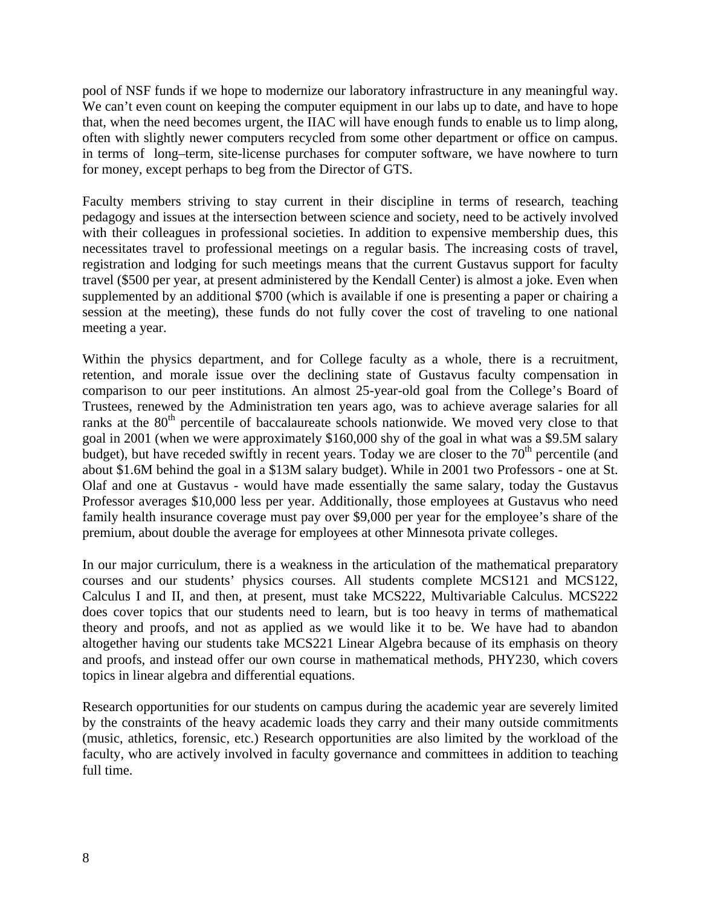pool of NSF funds if we hope to modernize our laboratory infrastructure in any meaningful way. We can't even count on keeping the computer equipment in our labs up to date, and have to hope that, when the need becomes urgent, the IIAC will have enough funds to enable us to limp along, often with slightly newer computers recycled from some other department or office on campus. in terms of long–term, site-license purchases for computer software, we have nowhere to turn for money, except perhaps to beg from the Director of GTS.

Faculty members striving to stay current in their discipline in terms of research, teaching pedagogy and issues at the intersection between science and society, need to be actively involved with their colleagues in professional societies. In addition to expensive membership dues, this necessitates travel to professional meetings on a regular basis. The increasing costs of travel, registration and lodging for such meetings means that the current Gustavus support for faculty travel (\$500 per year, at present administered by the Kendall Center) is almost a joke. Even when supplemented by an additional \$700 (which is available if one is presenting a paper or chairing a session at the meeting), these funds do not fully cover the cost of traveling to one national meeting a year.

Within the physics department, and for College faculty as a whole, there is a recruitment, retention, and morale issue over the declining state of Gustavus faculty compensation in comparison to our peer institutions. An almost 25-year-old goal from the College's Board of Trustees, renewed by the Administration ten years ago, was to achieve average salaries for all ranks at the 80<sup>th</sup> percentile of baccalaureate schools nationwide. We moved very close to that goal in 2001 (when we were approximately \$160,000 shy of the goal in what was a \$9.5M salary budget), but have receded swiftly in recent years. Today we are closer to the 70<sup>th</sup> percentile (and about \$1.6M behind the goal in a \$13M salary budget). While in 2001 two Professors - one at St. Olaf and one at Gustavus - would have made essentially the same salary, today the Gustavus Professor averages \$10,000 less per year. Additionally, those employees at Gustavus who need family health insurance coverage must pay over \$9,000 per year for the employee's share of the premium, about double the average for employees at other Minnesota private colleges.

In our major curriculum, there is a weakness in the articulation of the mathematical preparatory courses and our students' physics courses. All students complete MCS121 and MCS122, Calculus I and II, and then, at present, must take MCS222, Multivariable Calculus. MCS222 does cover topics that our students need to learn, but is too heavy in terms of mathematical theory and proofs, and not as applied as we would like it to be. We have had to abandon altogether having our students take MCS221 Linear Algebra because of its emphasis on theory and proofs, and instead offer our own course in mathematical methods, PHY230, which covers topics in linear algebra and differential equations.

Research opportunities for our students on campus during the academic year are severely limited by the constraints of the heavy academic loads they carry and their many outside commitments (music, athletics, forensic, etc.) Research opportunities are also limited by the workload of the faculty, who are actively involved in faculty governance and committees in addition to teaching full time.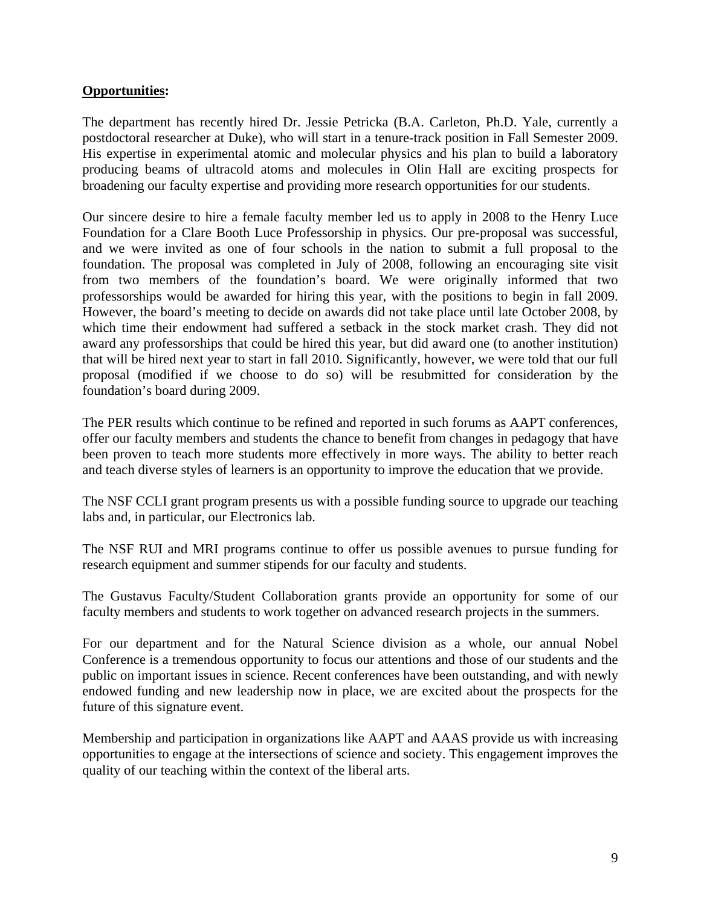### **Opportunities:**

The department has recently hired Dr. Jessie Petricka (B.A. Carleton, Ph.D. Yale, currently a postdoctoral researcher at Duke), who will start in a tenure-track position in Fall Semester 2009. His expertise in experimental atomic and molecular physics and his plan to build a laboratory producing beams of ultracold atoms and molecules in Olin Hall are exciting prospects for broadening our faculty expertise and providing more research opportunities for our students.

Our sincere desire to hire a female faculty member led us to apply in 2008 to the Henry Luce Foundation for a Clare Booth Luce Professorship in physics. Our pre-proposal was successful, and we were invited as one of four schools in the nation to submit a full proposal to the foundation. The proposal was completed in July of 2008, following an encouraging site visit from two members of the foundation's board. We were originally informed that two professorships would be awarded for hiring this year, with the positions to begin in fall 2009. However, the board's meeting to decide on awards did not take place until late October 2008, by which time their endowment had suffered a setback in the stock market crash. They did not award any professorships that could be hired this year, but did award one (to another institution) that will be hired next year to start in fall 2010. Significantly, however, we were told that our full proposal (modified if we choose to do so) will be resubmitted for consideration by the foundation's board during 2009.

The PER results which continue to be refined and reported in such forums as AAPT conferences, offer our faculty members and students the chance to benefit from changes in pedagogy that have been proven to teach more students more effectively in more ways. The ability to better reach and teach diverse styles of learners is an opportunity to improve the education that we provide.

The NSF CCLI grant program presents us with a possible funding source to upgrade our teaching labs and, in particular, our Electronics lab.

The NSF RUI and MRI programs continue to offer us possible avenues to pursue funding for research equipment and summer stipends for our faculty and students.

The Gustavus Faculty/Student Collaboration grants provide an opportunity for some of our faculty members and students to work together on advanced research projects in the summers.

For our department and for the Natural Science division as a whole, our annual Nobel Conference is a tremendous opportunity to focus our attentions and those of our students and the public on important issues in science. Recent conferences have been outstanding, and with newly endowed funding and new leadership now in place, we are excited about the prospects for the future of this signature event.

Membership and participation in organizations like AAPT and AAAS provide us with increasing opportunities to engage at the intersections of science and society. This engagement improves the quality of our teaching within the context of the liberal arts.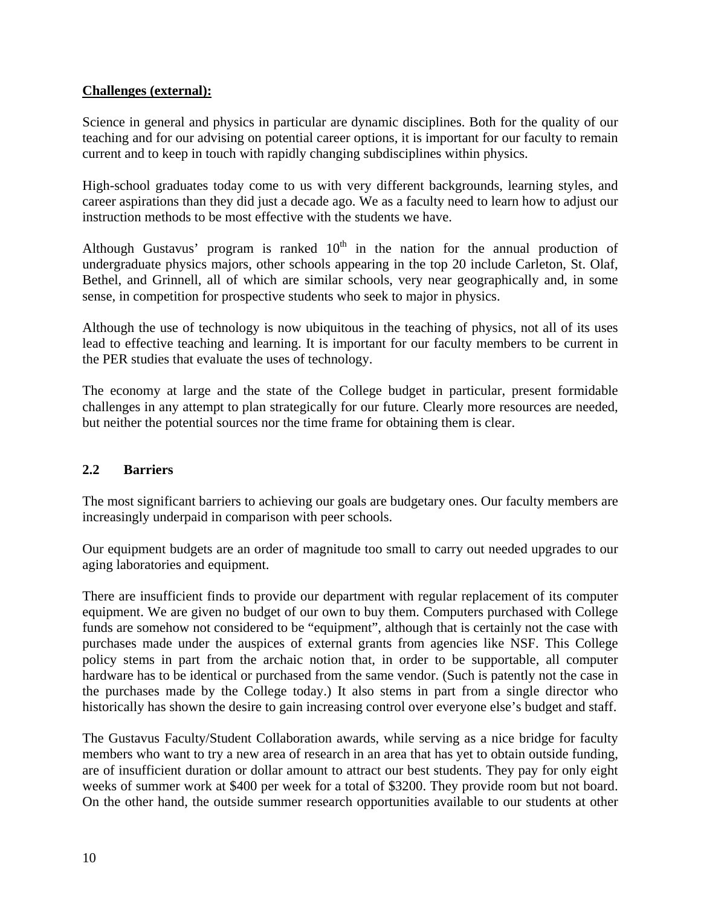## **Challenges (external):**

Science in general and physics in particular are dynamic disciplines. Both for the quality of our teaching and for our advising on potential career options, it is important for our faculty to remain current and to keep in touch with rapidly changing subdisciplines within physics.

High-school graduates today come to us with very different backgrounds, learning styles, and career aspirations than they did just a decade ago. We as a faculty need to learn how to adjust our instruction methods to be most effective with the students we have.

Although Gustavus' program is ranked  $10<sup>th</sup>$  in the nation for the annual production of undergraduate physics majors, other schools appearing in the top 20 include Carleton, St. Olaf, Bethel, and Grinnell, all of which are similar schools, very near geographically and, in some sense, in competition for prospective students who seek to major in physics.

Although the use of technology is now ubiquitous in the teaching of physics, not all of its uses lead to effective teaching and learning. It is important for our faculty members to be current in the PER studies that evaluate the uses of technology.

The economy at large and the state of the College budget in particular, present formidable challenges in any attempt to plan strategically for our future. Clearly more resources are needed, but neither the potential sources nor the time frame for obtaining them is clear.

#### **2.2 Barriers**

The most significant barriers to achieving our goals are budgetary ones. Our faculty members are increasingly underpaid in comparison with peer schools.

Our equipment budgets are an order of magnitude too small to carry out needed upgrades to our aging laboratories and equipment.

There are insufficient finds to provide our department with regular replacement of its computer equipment. We are given no budget of our own to buy them. Computers purchased with College funds are somehow not considered to be "equipment", although that is certainly not the case with purchases made under the auspices of external grants from agencies like NSF. This College policy stems in part from the archaic notion that, in order to be supportable, all computer hardware has to be identical or purchased from the same vendor. (Such is patently not the case in the purchases made by the College today.) It also stems in part from a single director who historically has shown the desire to gain increasing control over everyone else's budget and staff.

The Gustavus Faculty/Student Collaboration awards, while serving as a nice bridge for faculty members who want to try a new area of research in an area that has yet to obtain outside funding, are of insufficient duration or dollar amount to attract our best students. They pay for only eight weeks of summer work at \$400 per week for a total of \$3200. They provide room but not board. On the other hand, the outside summer research opportunities available to our students at other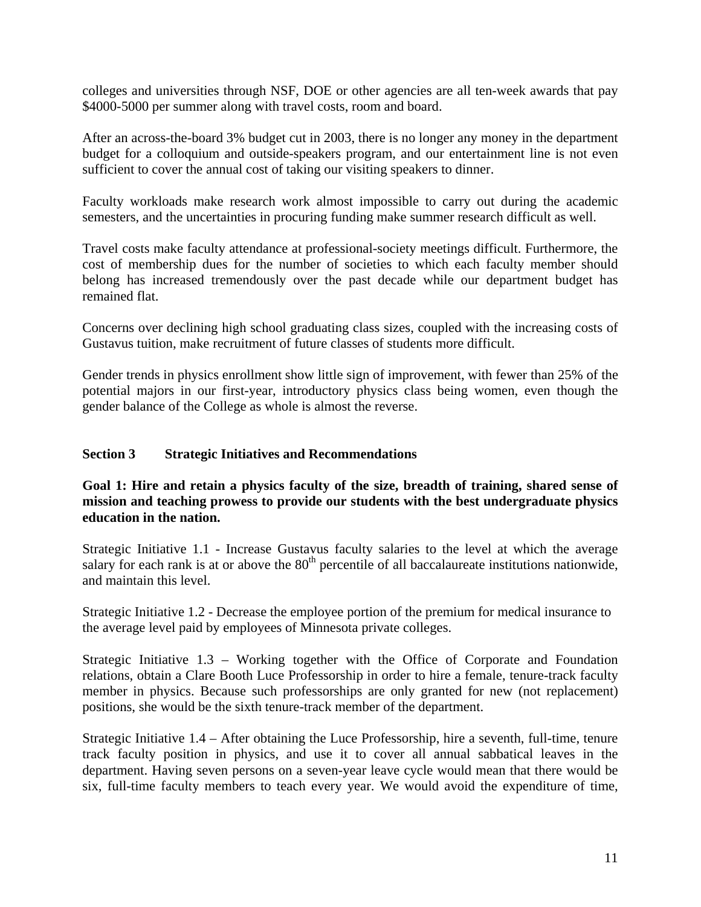colleges and universities through NSF, DOE or other agencies are all ten-week awards that pay \$4000-5000 per summer along with travel costs, room and board.

After an across-the-board 3% budget cut in 2003, there is no longer any money in the department budget for a colloquium and outside-speakers program, and our entertainment line is not even sufficient to cover the annual cost of taking our visiting speakers to dinner.

Faculty workloads make research work almost impossible to carry out during the academic semesters, and the uncertainties in procuring funding make summer research difficult as well.

Travel costs make faculty attendance at professional-society meetings difficult. Furthermore, the cost of membership dues for the number of societies to which each faculty member should belong has increased tremendously over the past decade while our department budget has remained flat.

Concerns over declining high school graduating class sizes, coupled with the increasing costs of Gustavus tuition, make recruitment of future classes of students more difficult.

Gender trends in physics enrollment show little sign of improvement, with fewer than 25% of the potential majors in our first-year, introductory physics class being women, even though the gender balance of the College as whole is almost the reverse.

#### **Section 3 Strategic Initiatives and Recommendations**

## **Goal 1: Hire and retain a physics faculty of the size, breadth of training, shared sense of mission and teaching prowess to provide our students with the best undergraduate physics education in the nation.**

Strategic Initiative 1.1 - Increase Gustavus faculty salaries to the level at which the average salary for each rank is at or above the 80<sup>th</sup> percentile of all baccalaureate institutions nationwide, and maintain this level.

Strategic Initiative 1.2 - Decrease the employee portion of the premium for medical insurance to the average level paid by employees of Minnesota private colleges.

Strategic Initiative 1.3 – Working together with the Office of Corporate and Foundation relations, obtain a Clare Booth Luce Professorship in order to hire a female, tenure-track faculty member in physics. Because such professorships are only granted for new (not replacement) positions, she would be the sixth tenure-track member of the department.

Strategic Initiative 1.4 – After obtaining the Luce Professorship, hire a seventh, full-time, tenure track faculty position in physics, and use it to cover all annual sabbatical leaves in the department. Having seven persons on a seven-year leave cycle would mean that there would be six, full-time faculty members to teach every year. We would avoid the expenditure of time,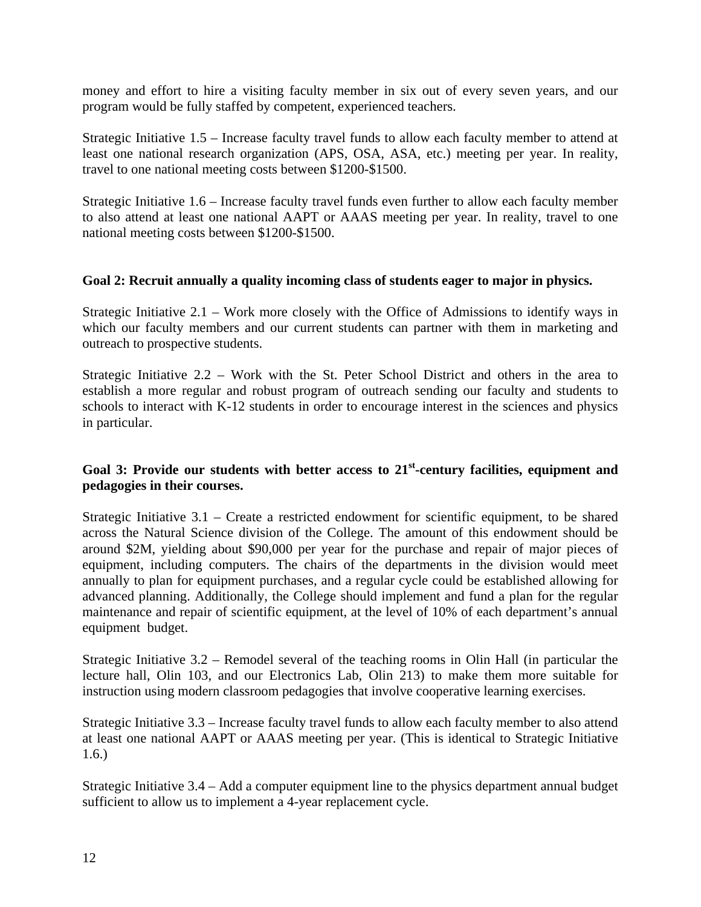money and effort to hire a visiting faculty member in six out of every seven years, and our program would be fully staffed by competent, experienced teachers.

Strategic Initiative 1.5 – Increase faculty travel funds to allow each faculty member to attend at least one national research organization (APS, OSA, ASA, etc.) meeting per year. In reality, travel to one national meeting costs between \$1200-\$1500.

Strategic Initiative 1.6 – Increase faculty travel funds even further to allow each faculty member to also attend at least one national AAPT or AAAS meeting per year. In reality, travel to one national meeting costs between \$1200-\$1500.

### **Goal 2: Recruit annually a quality incoming class of students eager to major in physics.**

Strategic Initiative 2.1 – Work more closely with the Office of Admissions to identify ways in which our faculty members and our current students can partner with them in marketing and outreach to prospective students.

Strategic Initiative 2.2 – Work with the St. Peter School District and others in the area to establish a more regular and robust program of outreach sending our faculty and students to schools to interact with K-12 students in order to encourage interest in the sciences and physics in particular.

## **Goal 3: Provide our students with better access to 21st-century facilities, equipment and pedagogies in their courses.**

Strategic Initiative  $3.1$  – Create a restricted endowment for scientific equipment, to be shared across the Natural Science division of the College. The amount of this endowment should be around \$2M, yielding about \$90,000 per year for the purchase and repair of major pieces of equipment, including computers. The chairs of the departments in the division would meet annually to plan for equipment purchases, and a regular cycle could be established allowing for advanced planning. Additionally, the College should implement and fund a plan for the regular maintenance and repair of scientific equipment, at the level of 10% of each department's annual equipment budget.

Strategic Initiative 3.2 – Remodel several of the teaching rooms in Olin Hall (in particular the lecture hall, Olin 103, and our Electronics Lab, Olin 213) to make them more suitable for instruction using modern classroom pedagogies that involve cooperative learning exercises.

Strategic Initiative 3.3 – Increase faculty travel funds to allow each faculty member to also attend at least one national AAPT or AAAS meeting per year. (This is identical to Strategic Initiative 1.6.)

Strategic Initiative 3.4 – Add a computer equipment line to the physics department annual budget sufficient to allow us to implement a 4-year replacement cycle.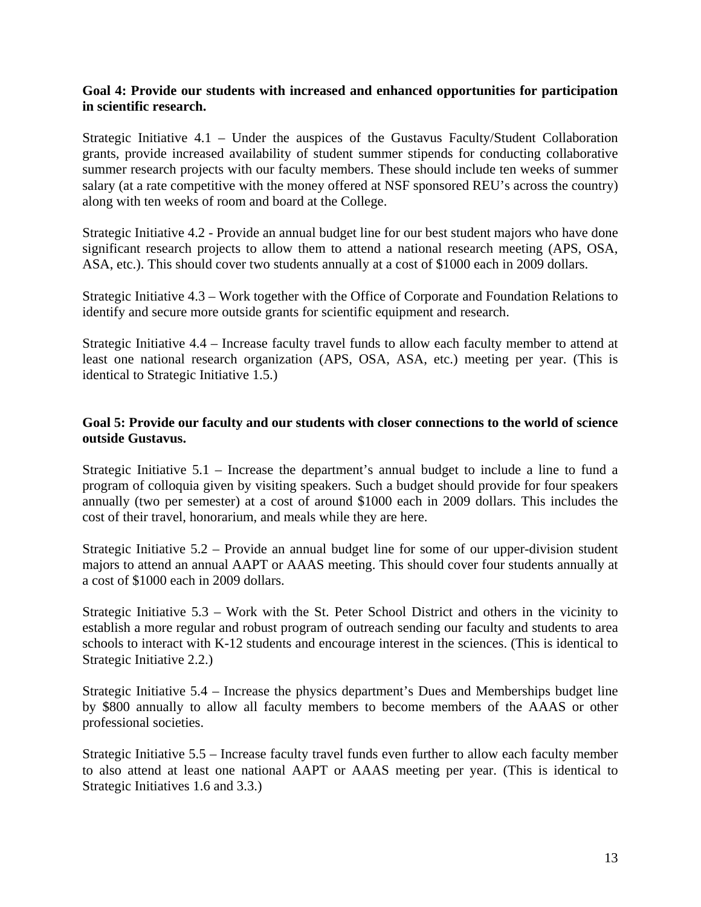### **Goal 4: Provide our students with increased and enhanced opportunities for participation in scientific research.**

Strategic Initiative 4.1 – Under the auspices of the Gustavus Faculty/Student Collaboration grants, provide increased availability of student summer stipends for conducting collaborative summer research projects with our faculty members. These should include ten weeks of summer salary (at a rate competitive with the money offered at NSF sponsored REU's across the country) along with ten weeks of room and board at the College.

Strategic Initiative 4.2 - Provide an annual budget line for our best student majors who have done significant research projects to allow them to attend a national research meeting (APS, OSA, ASA, etc.). This should cover two students annually at a cost of \$1000 each in 2009 dollars.

Strategic Initiative 4.3 – Work together with the Office of Corporate and Foundation Relations to identify and secure more outside grants for scientific equipment and research.

Strategic Initiative 4.4 – Increase faculty travel funds to allow each faculty member to attend at least one national research organization (APS, OSA, ASA, etc.) meeting per year. (This is identical to Strategic Initiative 1.5.)

### **Goal 5: Provide our faculty and our students with closer connections to the world of science outside Gustavus.**

Strategic Initiative 5.1 – Increase the department's annual budget to include a line to fund a program of colloquia given by visiting speakers. Such a budget should provide for four speakers annually (two per semester) at a cost of around \$1000 each in 2009 dollars. This includes the cost of their travel, honorarium, and meals while they are here.

Strategic Initiative 5.2 – Provide an annual budget line for some of our upper-division student majors to attend an annual AAPT or AAAS meeting. This should cover four students annually at a cost of \$1000 each in 2009 dollars.

Strategic Initiative 5.3 – Work with the St. Peter School District and others in the vicinity to establish a more regular and robust program of outreach sending our faculty and students to area schools to interact with K-12 students and encourage interest in the sciences. (This is identical to Strategic Initiative 2.2.)

Strategic Initiative 5.4 – Increase the physics department's Dues and Memberships budget line by \$800 annually to allow all faculty members to become members of the AAAS or other professional societies.

Strategic Initiative 5.5 – Increase faculty travel funds even further to allow each faculty member to also attend at least one national AAPT or AAAS meeting per year. (This is identical to Strategic Initiatives 1.6 and 3.3.)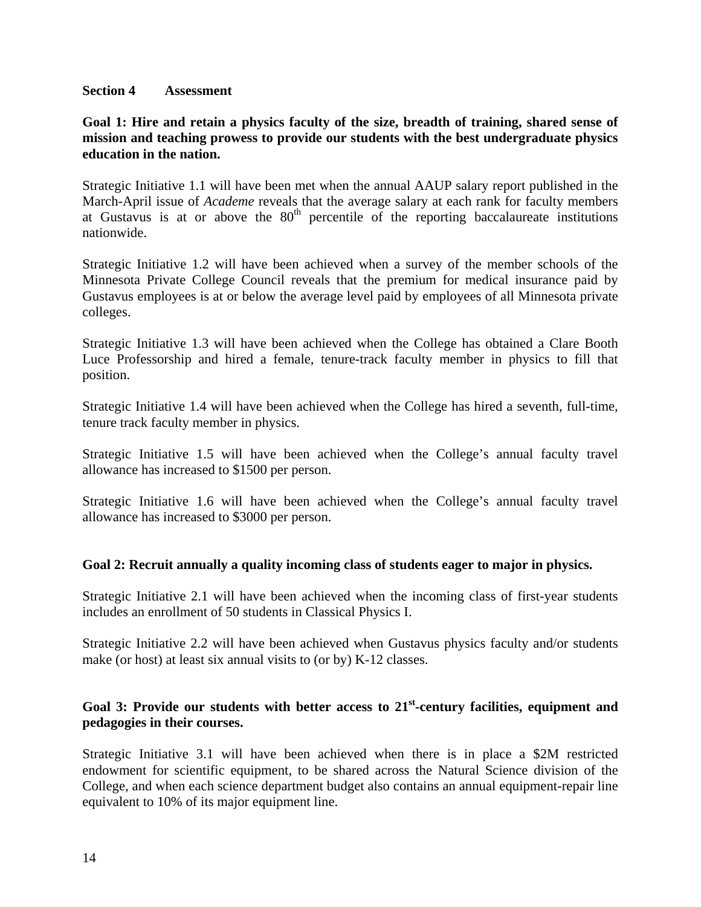#### **Section 4 Assessment**

### **Goal 1: Hire and retain a physics faculty of the size, breadth of training, shared sense of mission and teaching prowess to provide our students with the best undergraduate physics education in the nation.**

Strategic Initiative 1.1 will have been met when the annual AAUP salary report published in the March-April issue of *Academe* reveals that the average salary at each rank for faculty members at Gustavus is at or above the  $80<sup>th</sup>$  percentile of the reporting baccalaureate institutions nationwide.

Strategic Initiative 1.2 will have been achieved when a survey of the member schools of the Minnesota Private College Council reveals that the premium for medical insurance paid by Gustavus employees is at or below the average level paid by employees of all Minnesota private colleges.

Strategic Initiative 1.3 will have been achieved when the College has obtained a Clare Booth Luce Professorship and hired a female, tenure-track faculty member in physics to fill that position.

Strategic Initiative 1.4 will have been achieved when the College has hired a seventh, full-time, tenure track faculty member in physics.

Strategic Initiative 1.5 will have been achieved when the College's annual faculty travel allowance has increased to \$1500 per person.

Strategic Initiative 1.6 will have been achieved when the College's annual faculty travel allowance has increased to \$3000 per person.

#### **Goal 2: Recruit annually a quality incoming class of students eager to major in physics.**

Strategic Initiative 2.1 will have been achieved when the incoming class of first-year students includes an enrollment of 50 students in Classical Physics I.

Strategic Initiative 2.2 will have been achieved when Gustavus physics faculty and/or students make (or host) at least six annual visits to (or by) K-12 classes.

# **Goal 3: Provide our students with better access to 21st-century facilities, equipment and pedagogies in their courses.**

Strategic Initiative 3.1 will have been achieved when there is in place a \$2M restricted endowment for scientific equipment, to be shared across the Natural Science division of the College, and when each science department budget also contains an annual equipment-repair line equivalent to 10% of its major equipment line.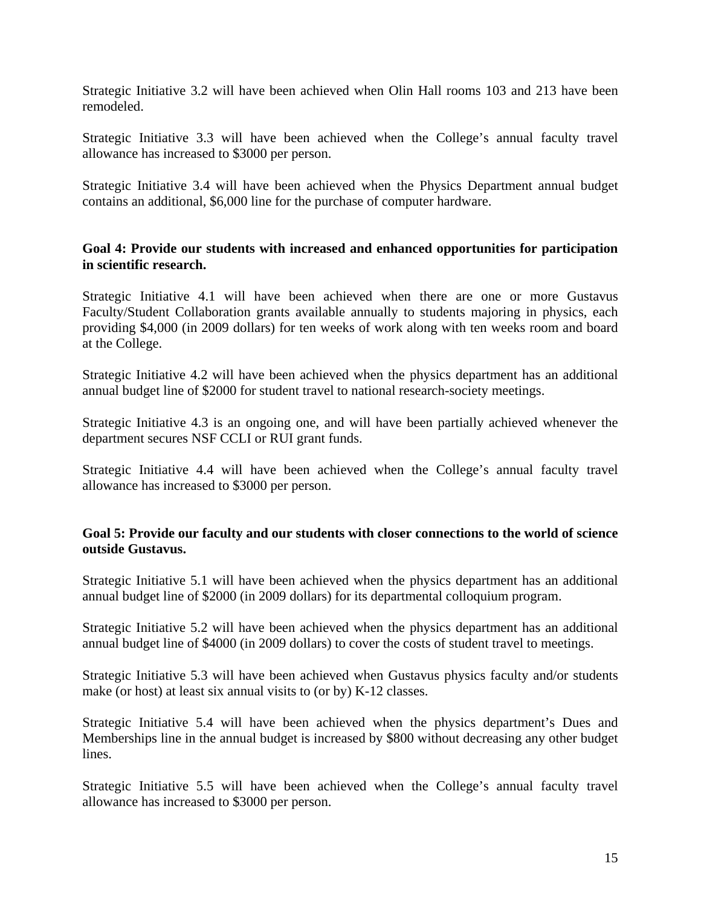Strategic Initiative 3.2 will have been achieved when Olin Hall rooms 103 and 213 have been remodeled.

Strategic Initiative 3.3 will have been achieved when the College's annual faculty travel allowance has increased to \$3000 per person.

Strategic Initiative 3.4 will have been achieved when the Physics Department annual budget contains an additional, \$6,000 line for the purchase of computer hardware.

### **Goal 4: Provide our students with increased and enhanced opportunities for participation in scientific research.**

Strategic Initiative 4.1 will have been achieved when there are one or more Gustavus Faculty/Student Collaboration grants available annually to students majoring in physics, each providing \$4,000 (in 2009 dollars) for ten weeks of work along with ten weeks room and board at the College.

Strategic Initiative 4.2 will have been achieved when the physics department has an additional annual budget line of \$2000 for student travel to national research-society meetings.

Strategic Initiative 4.3 is an ongoing one, and will have been partially achieved whenever the department secures NSF CCLI or RUI grant funds.

Strategic Initiative 4.4 will have been achieved when the College's annual faculty travel allowance has increased to \$3000 per person.

### **Goal 5: Provide our faculty and our students with closer connections to the world of science outside Gustavus.**

Strategic Initiative 5.1 will have been achieved when the physics department has an additional annual budget line of \$2000 (in 2009 dollars) for its departmental colloquium program.

Strategic Initiative 5.2 will have been achieved when the physics department has an additional annual budget line of \$4000 (in 2009 dollars) to cover the costs of student travel to meetings.

Strategic Initiative 5.3 will have been achieved when Gustavus physics faculty and/or students make (or host) at least six annual visits to (or by) K-12 classes.

Strategic Initiative 5.4 will have been achieved when the physics department's Dues and Memberships line in the annual budget is increased by \$800 without decreasing any other budget lines.

Strategic Initiative 5.5 will have been achieved when the College's annual faculty travel allowance has increased to \$3000 per person.